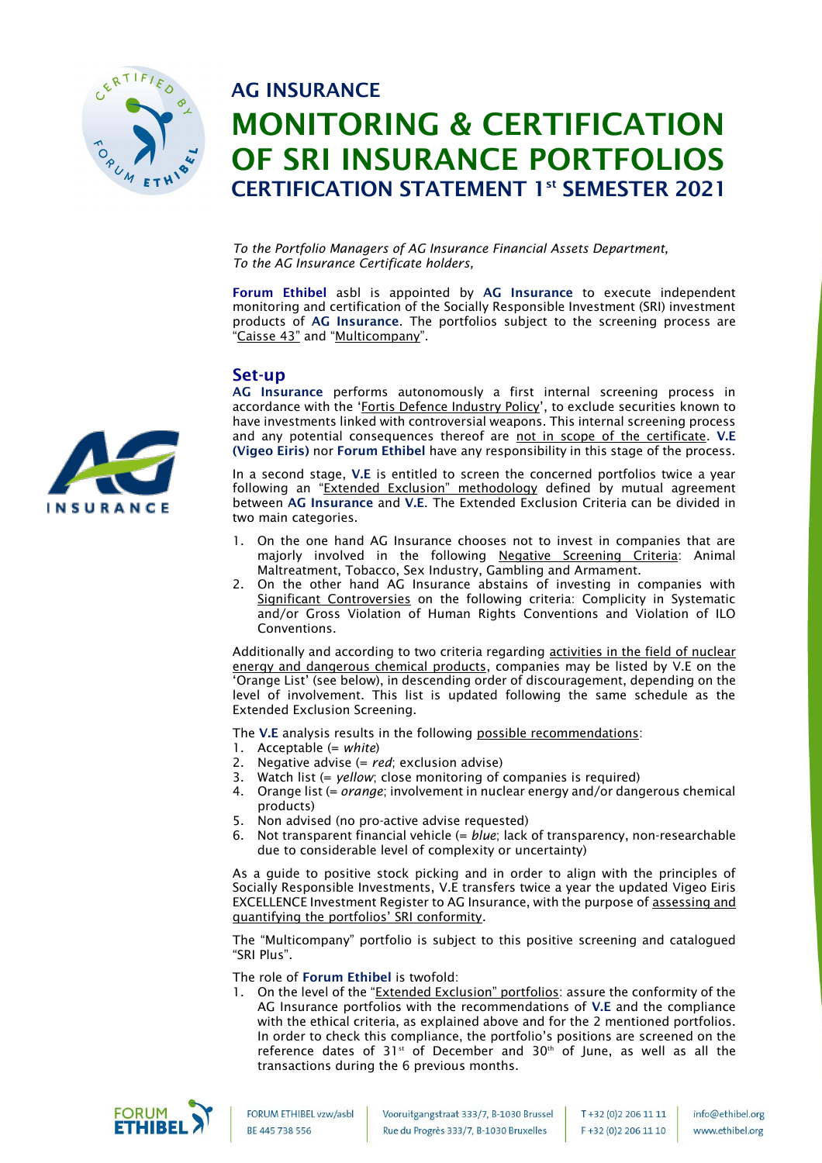

# AG INSURANCE MONITORING & CERTIFICATION OF SRI INSURANCE PORTFOLIOS CERTIFICATION STATEMENT 1<sup>st</sup> SEMESTER 2021

*To the Portfolio Managers of AG Insurance Financial Assets Department, To the AG Insurance Certificate holders,*

Forum Ethibel asbl is appointed by AG Insurance to execute independent monitoring and certification of the Socially Responsible Investment (SRI) investment products of AG Insurance. The portfolios subject to the screening process are "Caisse 43" and "Multicompany".

### Set-up

AG Insurance performs autonomously a first internal screening process in accordance with the 'Fortis Defence Industry Policy', to exclude securities known to have investments linked with controversial weapons. This internal screening process and any potential consequences thereof are not in scope of the certificate. V.E (Vigeo Eiris) nor Forum Ethibel have any responsibility in this stage of the process.

In a second stage, V.E is entitled to screen the concerned portfolios twice a year following an "Extended Exclusion" methodology defined by mutual agreement between AG Insurance and V.E. The Extended Exclusion Criteria can be divided in two main categories.

- 1. On the one hand AG Insurance chooses not to invest in companies that are majorly involved in the following Negative Screening Criteria: Animal Maltreatment, Tobacco, Sex Industry, Gambling and Armament.
- 2. On the other hand AG Insurance abstains of investing in companies with Significant Controversies on the following criteria: Complicity in Systematic and/or Gross Violation of Human Rights Conventions and Violation of ILO Conventions.

Additionally and according to two criteria regarding **activities in the field of nuclear** energy and dangerous chemical products, companies may be listed by V.E on the 'Orange List' (see below), in descending order of discouragement, depending on the level of involvement. This list is updated following the same schedule as the Extended Exclusion Screening.

The V.E analysis results in the following possible recommendations:

- 1. Acceptable (= *white*)
- 2. Negative advise (= *red*; exclusion advise)
- 3. Watch list (= *yellow*; close monitoring of companies is required)
- 4. Orange list (= *orange*; involvement in nuclear energy and/or dangerous chemical products)
- 5. Non advised (no pro-active advise requested)
- 6. Not transparent financial vehicle (= *blue*; lack of transparency, non-researchable due to considerable level of complexity or uncertainty)

As a guide to positive stock picking and in order to align with the principles of Socially Responsible Investments, V.E transfers twice a year the updated Vigeo Eiris EXCELLENCE Investment Register to AG Insurance, with the purpose of assessing and quantifying the portfolios' SRI conformity.

The "Multicompany" portfolio is subject to this positive screening and catalogued "SRI Plus".

The role of Forum Ethibel is twofold:

1. On the level of the "Extended Exclusion" portfolios: assure the conformity of the AG Insurance portfolios with the recommendations of V.E and the compliance with the ethical criteria, as explained above and for the 2 mentioned portfolios. In order to check this compliance, the portfolio's positions are screened on the reference dates of  $31^{st}$  of December and  $30^{th}$  of June, as well as all the transactions during the 6 previous months.



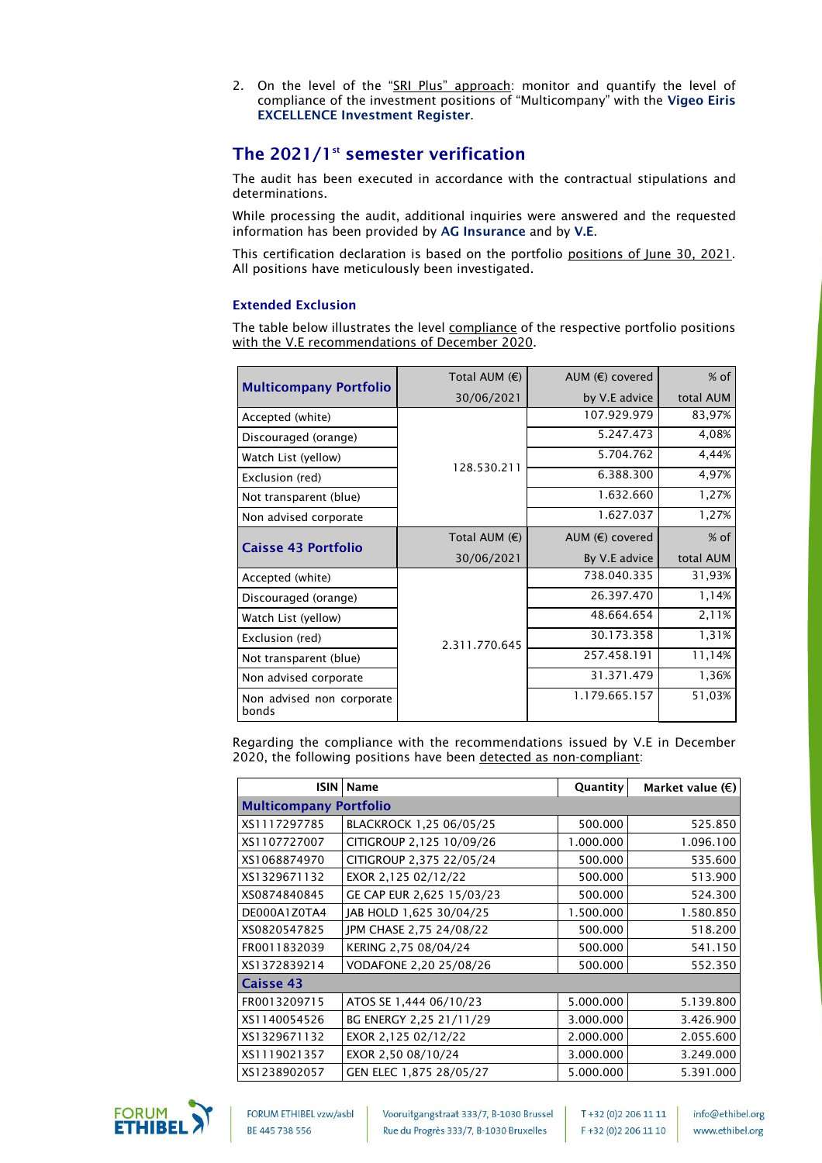2. On the level of the "<u>SRI Plus" approach</u>: monitor and quantify the level of compliance of the investment positions of "Multicompany" with the Vigeo Eiris EXCELLENCE Investment Register.

# The  $2021/1$ <sup>st</sup> semester verification

The audit has been executed in accordance with the contractual stipulations and determinations.

While processing the audit, additional inquiries were answered and the requested information has been provided by AG Insurance and by V.E.

This certification declaration is based on the portfolio positions of June 30, 2021. All positions have meticulously been investigated.

#### Extended Exclusion

The table below illustrates the level compliance of the respective portfolio positions with the V.E recommendations of December 2020.

|                                    | Total AUM $(E)$ | AUM (€) covered   | $%$ of    |
|------------------------------------|-----------------|-------------------|-----------|
| <b>Multicompany Portfolio</b>      | 30/06/2021      | by V.E advice     |           |
| Accepted (white)                   |                 | 107.929.979       | 83,97%    |
| Discouraged (orange)               |                 | 5.247.473         | 4,08%     |
| Watch List (yellow)                |                 | 5.704.762         | 4,44%     |
| Exclusion (red)                    | 128.530.211     | 6.388.300         | 4,97%     |
| Not transparent (blue)             |                 | 1.632.660         | 1,27%     |
| Non advised corporate              |                 | 1.627.037         | 1,27%     |
|                                    | Total AUM $(E)$ | AUM $(E)$ covered | $%$ of    |
| <b>Caisse 43 Portfolio</b>         | 30/06/2021      | By V.E advice     | total AUM |
| Accepted (white)                   |                 | 738.040.335       | 31,93%    |
| Discouraged (orange)               |                 | 26.397.470        | 1,14%     |
| Watch List (yellow)                |                 | 48.664.654        | 2,11%     |
| Exclusion (red)                    | 2.311.770.645   | 30.173.358        | 1,31%     |
| Not transparent (blue)             |                 | 257.458.191       | 11,14%    |
| Non advised corporate              |                 | 31.371.479        | 1,36%     |
| Non advised non corporate<br>bonds |                 | 1.179.665.157     | 51,03%    |

Regarding the compliance with the recommendations issued by V.E in December 2020, the following positions have been detected as non-compliant:

| <b>ISIN</b>                   | Name                      | <b>Quantity</b> | Market value (€) |  |  |
|-------------------------------|---------------------------|-----------------|------------------|--|--|
| <b>Multicompany Portfolio</b> |                           |                 |                  |  |  |
| XS1117297785                  | BLACKROCK 1,25 06/05/25   | 500.000         | 525.850          |  |  |
| XS1107727007                  | CITIGROUP 2,125 10/09/26  | 1.000.000       | 1.096.100        |  |  |
| XS1068874970                  | CITIGROUP 2,375 22/05/24  | 500.000         | 535.600          |  |  |
| XS1329671132                  | EXOR 2,125 02/12/22       | 500.000         | 513.900          |  |  |
| XS0874840845                  | GE CAP EUR 2,625 15/03/23 | 500.000         | 524.300          |  |  |
| DE000A1Z0TA4                  | JAB HOLD 1,625 30/04/25   | 1.500.000       | 1.580.850        |  |  |
| XS0820547825                  | JPM CHASE 2,75 24/08/22   | 500.000         | 518.200          |  |  |
| FR0011832039                  | KERING 2,75 08/04/24      | 500.000         | 541.150          |  |  |
| XS1372839214                  | VODAFONE 2,20 25/08/26    | 500.000         | 552.350          |  |  |
| Caisse 43                     |                           |                 |                  |  |  |
| FR0013209715                  | ATOS SE 1,444 06/10/23    | 5.000.000       | 5.139.800        |  |  |
| XS1140054526                  | BG ENERGY 2,25 21/11/29   | 3.000.000       | 3.426.900        |  |  |
| XS1329671132                  | EXOR 2,125 02/12/22       | 2.000.000       | 2.055.600        |  |  |
| XS1119021357                  | EXOR 2,50 08/10/24        | 3.000.000       | 3.249.000        |  |  |
| XS1238902057                  | GEN ELEC 1,875 28/05/27   | 5.000.000       | 5.391.000        |  |  |



FORUM ETHIBEL vzw/asbl BE 445 738 556

Vooruitgangstraat 333/7, B-1030 Brussel Rue du Progrès 333/7, B-1030 Bruxelles

T+32 (0)2 206 11 11 F +32 (0)2 206 11 10